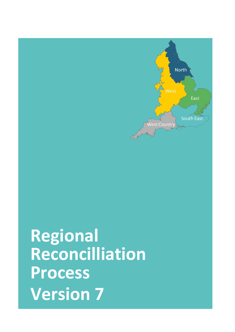**Regional Reconcilliation Process Version 7**

North

West Country

South of the County of the County of the County of the County of the County of the County of the County of the

East

South East

**Date**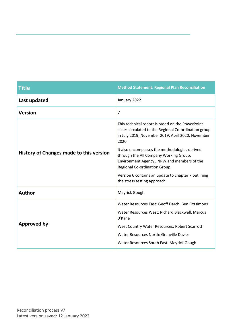| <b>Title</b>                            | <b>Method Statement: Regional Plan Reconciliation</b>                                                                                                                   |  |  |  |  |
|-----------------------------------------|-------------------------------------------------------------------------------------------------------------------------------------------------------------------------|--|--|--|--|
| Last updated                            | January 2022                                                                                                                                                            |  |  |  |  |
| <b>Version</b>                          | $\overline{7}$                                                                                                                                                          |  |  |  |  |
|                                         | This technical report is based on the PowerPoint<br>slides circulated to the Regional Co-ordination group<br>in July 2019, November 2019, April 2020, November<br>2020. |  |  |  |  |
| History of Changes made to this version | It also encompasses the methodologies derived<br>through the All Company Working Group;<br>Environment Agency, NRW and members of the<br>Regional Co-ordination Group.  |  |  |  |  |
|                                         | Version 6 contains an update to chapter 7 outlining<br>the stress testing approach.                                                                                     |  |  |  |  |
| <b>Author</b>                           | Meyrick Gough                                                                                                                                                           |  |  |  |  |
| <b>Approved by</b>                      | Water Resources East: Geoff Darch, Ben Fitzsimons<br>Water Resources West: Richard Blackwell, Marcus<br>0'Kane<br>West Country Water Resources: Robert Scarrott         |  |  |  |  |
|                                         | Water Resources North: Granville Davies<br>Water Resources South East: Meyrick Gough                                                                                    |  |  |  |  |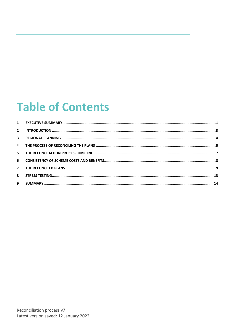### **Table of Contents**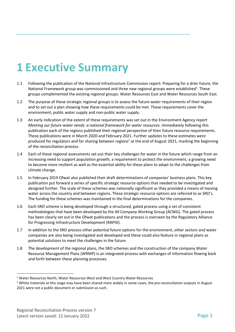#### <span id="page-3-0"></span>**1 Executive Summary**

- 1.1 Following the publication of the National Infrastructure Commission report: Preparing for a drier future, the National Framework group was commissioned and three new regional groups were established<sup>1</sup>. These groups complemented the existing regional groups: Water Resources East and Water Resources South East.
- 1.2 The purpose of these strategic regional groups is to assess the future water requirements of their region and to set out a plan showing how these requirements could be met. These requirements cover the environment, public water supply and non-public water supply.
- 1.3 An early indication of the extent of these requirements was set out in the Environment Agency report *Meeting our future water needs: a national framework for water resources*. Immediately following this publication each of the regions published their regional perspective of their future resource requirements. These publications were in March 2020 and February 2021. Further updates to these estimates were produced for regulators and for sharing between regions<sup>2</sup> at the end of August 2021, marking the beginning of the reconciliation process.
- 1.4 Each of these regional assessments set out their key challenges for water in the future which range from an increasing need to support population growth; a requirement to protect the environment; a growing need to become more resilient as well as the essential ability for these plans to adapt to the challenges from climate change.
- 1.5 In February 2019 Ofwat also published their draft determinations of companies' business plans. This key publication put forward a series of specific strategic resource options that needed to be investigated and designed further. The scale of these schemes was nationally significant as they provided a means of moving water across the country and between regions. These strategic resource options are referred to as SRO's. The funding for these schemes was maintained in the final determinations for the companies.
- 1.6 Each SRO scheme is being developed through a structured, gated process using a set of consistent methodologies that have been developed by the All Company Working Group (ACWG). The gated process has been clearly set out in the Ofwat publications and the process is overseen by the Regulatory Alliance for Progressing Infrastructure Development (RAPID).
- 1.7 In addition to the SRO process other potential future options for the environment, other sectors and water companies are also being investigated and developed and these could also feature in regional plans as potential solutions to meet the challenges in the future.
- 1.8 The development of the regional plans, the SRO schemes and the construction of the company Water Resource Management Plans (WRMP) is an integrated process with exchanges of information flowing back and forth between these planning processes.

<sup>&</sup>lt;sup>1</sup> Water Resources North, Water Resources West and West Country Water Resources

<sup>&</sup>lt;sup>2</sup> Whilst materials at this stage may have been shared more widely in some cases, the pre-reconciliation outputs in August 2021 were not a public document or submission as such.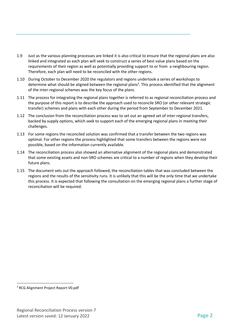- 1.9 Just as the various planning processes are linked it is also critical to ensure that the regional plans are also linked and integrated as each plan will seek to construct a series of best value plans based on the requirements of their region as well as potentially providing support to or from a neighbouring region. Therefore, each plan will need to be reconciled with the other regions.
- 1.10 During October to December 2020 the regulators and regions undertook a series of workshops to determine what should be aligned between the regional plans<sup>3</sup>. This process identified that the alignment of the inter-regional schemes was the key focus of the plans.
- 1.11 The process for integrating the regional plans together is referred to as regional reconciliation process and the purpose of this report is to describe the approach used to reconcile SRO (or other relevant strategic transfer) schemes and plans with each other during the period from September to December 2021.
- 1.12 The conclusion from the reconciliation process was to set out an agreed set of inter-regional transfers, backed by supply options, which seek to support each of the emerging regional plans in meeting their challenges.
- 1.13 For some regions the reconciled solution was confirmed that a transfer between the two regions was optimal. For other regions the process highlighted that some transfers between the regions were not possible, based on the information currently available.
- 1.14 The reconciliation process also showed an alternative alignment of the regional plans and demonstrated that some existing assets and non-SRO schemes are critical to a number of regions when they develop their future plans.
- 1.15 The document sets out the approach followed, the reconciliation tables that was concluded between the regions and the results of the sensitivity runs. It is unlikely that this will be the only time that we undertake this process. It is expected that following the consultation on the emerging regional plans a further stage of reconciliation will be required.

<sup>3</sup> RCG Alignment Project Report V0.pdf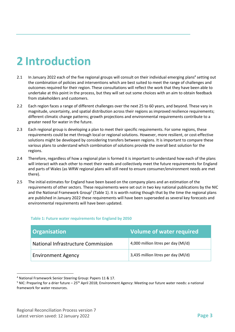# <span id="page-5-0"></span>**2 Introduction**

- 2.1 In January 2022 each of the five regional groups will consult on their individual emerging plans<sup>4</sup> setting out the combination of policies and interventions which are best suited to meet the range of challenges and outcomes required for their region. These consultations will reflect the work that they have been able to undertake at this point in the process, but they will set out some choices with an aim to obtain feedback from stakeholders and customers.
- 2.2 Each region faces a range of different challenges over the next 25 to 60 years, and beyond. These vary in magnitude, uncertainty, and spatial distribution across their regions as improved resilience requirements; different climatic change patterns; growth projections and environmental requirements contribute to a greater need for water in the future.
- 2.3 Each regional group is developing a plan to meet their specific requirements. For some regions, these requirements could be met through local or regional solutions. However, more resilient, or cost-effective solutions might be developed by considering transfers between regions. It is important to compare these various plans to understand which combination of solutions provide the overall best solution for the regions.
- 2.4 Therefore, regardless of how a regional plan is formed it is important to understand how each of the plans will interact with each other to meet their needs and collectively meet the future requirements for England and parts of Wales (as WRW regional plans will still need to ensure consumer/environment needs are met there).
- 2.5 The initial estimates for England have been based on the company plans and an estimation of the requirements of other sectors. These requirements were set out in two key national publications by the NIC and the National Framework Group<sup>5</sup> (Table 1). It is worth noting though that by the time the regional plans are published in January 2022 these requirements will have been superseded as several key forecasts and environmental requirements will have been updated.

| <b>Organisation</b>                | Volume of water required            |
|------------------------------------|-------------------------------------|
| National Infrastructure Commission | 4,000 million litres per day (MI/d) |
| <b>Environment Agency</b>          | 3,435 million litres per day (MI/d) |

#### **Table 1: Future water requirements for England by 2050**

<sup>4</sup> National Framework Senior Steering Group: Papers 11 & 17.

 $5$  NIC: Preparing for a drier future – 25<sup>th</sup> April 2018; Environment Agency: Meeting our future water needs: a national framework for water resources.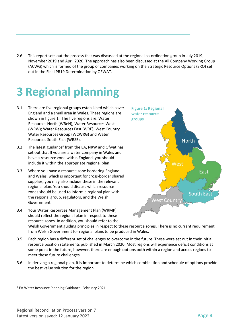2.6 This report sets out the process that was discussed at the regional co-ordination group in July 2019; November 2019 and April 2020. The approach has also been discussed at the All Company Working Group (ACWG) which is formed of the group of companies working on the Strategic Resource Options (SRO) set out in the Final PR19 Determination by OFWAT.

# <span id="page-6-0"></span>**3 Regional planning**

- 3.1 There are five regional groups established which cover England and a small area in Wales. These regions are shown in figure 1. The five regions are: Water Resources North (WReN); Water Resources West (WRW); Water Resources East (WRE); West Country Water Resources Group (WCWRG) and Water Resources South East (WRSE).
- 3.2 The latest guidance $6$  from the EA, NRW and Ofwat has set out that If you are a water company in Wales and have a resource zone within England, you should include it within the appropriate regional plan.
- 3.3 Where you have a resource zone bordering England and Wales, which is important for cross-border shared supplies, you may also include these in the relevant regional plan. You should discuss which resource zones should be used to inform a regional plan with the regional group, regulators, and the Welsh Government.
- 3.4 Your Water Resources Management Plan (WRMP) should reflect the regional plan in respect to these resource zones. In addition, you should refer to the



Welsh Government guiding principles in respect to these resource zones. There is no current requirement from Welsh Government for regional plans to be produced in Wales.

- 3.5 Each region has a different set of challenges to overcome in the future. These were set out in their initial resource position statements published in March 2020. Most regions will experience deficit conditions at some point in the future, however, there are enough options both within a region and across regions to meet these future challenges.
- 3.6 In deriving a regional plan, it is important to determine which combination and schedule of options provide the best value solution for the region.

<sup>6</sup> EA Water Resource Planning Guidance, February 2021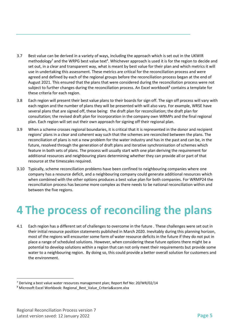- 3.7 Best value can be derived in a variety of ways, including the approach which is set out in the UKWIR methodology<sup>7</sup> and the WRPG best value text<sup>4</sup>. Whichever approach is used it is for the region to decide and set out, in a clear and transparent way, what is meant by best value for their plan and which metrics it will use in undertaking this assessment. These metrics are critical for the reconciliation process and were agreed and defined by each of the regional groups before the reconciliation process began at the end of August 2021. This ensured that the plans that were considered during the reconciliation process were not subject to further changes during the reconciliation process. An Excel workbook<sup>8</sup> contains a template for these criteria for each region.
- 3.8 Each region will present their best value plans to their boards for sign off. The sign off process will vary with each region and the number of plans they will be presented with will also vary. For example, WRSE have several plans that are signed off, these being: the draft plan for reconciliation; the draft plan for consultation; the revised draft plan for incorporation in the company own WRMPs and the final regional plan. Each region will set out their own approach for signing off their regional plan.
- 3.9 When a scheme crosses regional boundaries, it is critical that it is represented in the donor and recipient regions' plans in a clear and coherent way such that the schemes are reconciled between the plans. The reconciliation of plans is not a new problem for the water industry and has in the past and can be, in the future, resolved through the generation of draft plans and iterative synchronisation of schemes which feature in both sets of plans. The process will usually start with one plan deriving the requirement for additional resources and neighbouring plans determining whether they can provide all or part of that resource at the timescales required.
- 3.10 Typically, scheme reconciliation problems have been confined to neighbouring companies where one company has a resource deficit, and a neighbouring company could generate additional resources which when combined with the other options produces a best value plan for both companies. For WRMP24 the reconciliation process has become more complex as there needs to be national reconciliation within and between the five regions.

## <span id="page-7-0"></span>**4 The process of reconciling the plans**

4.1 Each region has a different set of challenges to overcome in the future . These challenges were set out in their initial resource position statements published in March 2020. Inevitably during this planning horizon, most of the regions will encounter some form of water resource deficits in the future if they do not put in place a range of scheduled solutions. However, when considering these future options there might be a potential to develop solutions within a region that can not only meet their requirements but provide some water to a neighbouring region. By doing so, this could provide a better overall solution for customers and the environment.

 $7$  Deriving a best value water resources management plan: Report Ref No: 20/WR/02/14

<sup>&</sup>lt;sup>8</sup> Microsoft Excel Workbook: Regional Best Value Criteria&score.xlsx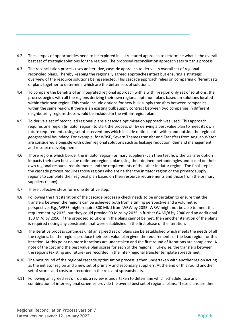- 4.2 These types of opportunities need to be explored in a structured approach to determine what is the overall best set of strategic solutions for the regions. The proposed reconciliation approach sets out this process.
- 4.3 The reconciliation process uses an iterative, cascade approach to derive an overall set of regional reconciled plans. Thereby keeping the regionally agreed approaches intact but ensuring a strategic overview of the resource solutions being selected. This cascade approach relies on comparing different sets of plans together to determine which are the better sets of solutions.
- 4.4 To compare the benefits of an integrated regional approach with a within-region only set of solutions, the process begins with all the regions deriving their own regional optimum plans based on solutions located within their own region. This could include options for new bulk supply transfers between companies within the same region. If there is an existing bulk supply contract between two companies in different neighbouring regions these would be included in the within-region plan.
- 4.5 To derive a set of reconciled regional plans a cascade optimisation approach was used. This approach requires one region (initiator region) to start the process off by deriving a best value plan to meet its own future requirements using set of interventions which include options both within and outside the regional geographical boundary. For example, for WRSE, Severn Thames transfer and Transfers from Anglian Water are considered alongside with other regional solutions such as leakage reduction, demand management and resource developments.
- 4.6 Those regions which border the initiator region (primary suppliers) can then test how the transfer option impacts their own best value optimum regional plan using their defined methodologies and based on their own regional resource requirements and the requirements of the other initiator region. The final step in the cascade process requires those regions who are neither the initiator region or the primary supply regions to complete their regional plan based on their resource requirements and those from the primary suppliers (if any).
- 4.7 These collective steps form one iterative step.
- 4.8 Following the first iteration of the cascade process a check needs to be undertaken to ensure that the transfers between the regions can be achieved both from a timing perspective and a volumetric perspective. E.g., WRSE might require 300 Ml/d from WRW by 2035. WRW might not be able to meet this requirement by 2035, but they could provide 90 Ml/d by 2035, a further 64 Ml/d by 2040 and an additional 150 Ml/d by 2050. If the proposed solutions in the plans cannot be met, then another iteration of the plans is required noting any constraints that were established in the first phase of the iteration.
- 4.9 The iterative process continues until an agreed set of plans can be established which meets the needs of all the regions. I.e. the regions produce their best value plan given the requirements of the lead region for this iteration. At this point no more iterations are undertaken and the first round of iterations are completed. A note of the cost and the best value plan scores for each of the regions.Likewise, the transfers between the regions (existing and future) are recorded in the inter-regional transfer template spreadsheet.
- 4.10 The next round of the regional cascade optimisation process is then undertaken with another region acting as the initiator region and a new set of primary and secondary suppliers. At the end of this round another set of scores and costs are recorded in the relevant spreadsheets.
- 4.11 Following an agreed set of rounds a review is undertaken to determine which schedule, size and combination of inter-regional schemes provide the overall best set of regional plans. These plans are then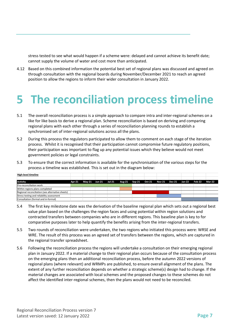stress tested to see what would happen if a scheme were: delayed and cannot achieve its benefit date; cannot supply the volume of water and cost more than anticipated.

4.12 Based on this combined information the potential best set of regional plans was discussed and agreed on through consultation with the regional boards during November/December 2021 to reach an agreed position to allow the regions to inform their wider consultation in January 2022.

#### <span id="page-9-0"></span>**5 The reconciliation process timeline**

- 5.1 The overall reconciliation process is a simple approach to compare intra and inter-regional schemes on a like for like basis to derive a regional plan. Scheme reconciliation is based on deriving and comparing regional plans with each other through a series of reconciliation planning rounds to establish a synchronised set of inter-regional solutions across all the plans.
- 5.2 During this process the regulators participated to allow them to comment on each stage of the iteration process. Whilst it is recognised that their participation cannot compromise future regulatory positions, their participation was important to flag up any potential issues which they believe would not meet government policies or legal constraints.
- 5.3 To ensure that the correct information is available for the synchronisation of the various steps for the process a timeline was established. This is set out in the diagram below:

 $\sim$ 

| <b>ELECTED</b> CONTROLLER                        |        |  |                                                                |  |  |  |               |  |
|--------------------------------------------------|--------|--|----------------------------------------------------------------|--|--|--|---------------|--|
|                                                  |        |  |                                                                |  |  |  |               |  |
| <b>Activity</b>                                  | Apr-21 |  | May-21 Jun-21 Jul-21 Aug-21 Sep-21 Oct-21 Nov-21 Dec-21 Jan-22 |  |  |  | Feb-22 Mar-22 |  |
| <b>Pre-reconciliation work</b>                   |        |  |                                                                |  |  |  |               |  |
| Within regions plans completed                   |        |  |                                                                |  |  |  |               |  |
| Regional reconciliation (see alternative sheets) |        |  |                                                                |  |  |  |               |  |
| Stress testing and reliability assessment        |        |  |                                                                |  |  |  |               |  |
| Consultation (formal and in-formal)              |        |  |                                                                |  |  |  |               |  |

- 5.4 The first key milestone date was the derivation of the baseline regional plan which sets out a regional best value plan based on the challenges the region faces and using potential within region solutions and contracted transfers between companies who are in different regions. This baseline plan is key to for comparative purposes later to help quantify the benefits arising from the inter-regional transfers.
- 5.5 Two rounds of reconciliation were undertaken, the two regions who initiated this process were: WRSE and WRE. The result of this process was an agreed set of transfers between the regions, which are captured in the regional transfer spreadsheet.
- 5.6 Following the reconciliation process the regions will undertake a consultation on their emerging regional plan in January 2022. If a material change to their regional plan occurs because of the consultation process on the emerging plans then an additional reconciliation process, before the autumn 2022 versions of regional plans (where relevant) and WRMPs are published, to ensure overall alignment of the plans. The extent of any further reconciliation depends on whether a strategic scheme(s) design had to change. If the material changes are associated with local schemes and the proposed changes to these schemes do not affect the identified inter-regional schemes, then the plans would not need to be reconciled.

**High-level timeline**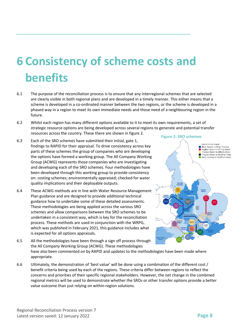# <span id="page-10-0"></span>**6 Consistency of scheme costs and benefits**

- 6.1 The purpose of the reconciliation process is to ensure that any interregional schemes that are selected are clearly visible in both regional plans and are developed in a timely manner. This either means that a scheme is developed in a co-ordinated manner between the two regions, or the scheme is developed in a phased way in a region to meet its own immediate needs and those need of a neighbouring region in the future.
- 6.2 Whilst each region has many different options available to it to meet its own requirements, a set of strategic resource options are being developed across several regions to generate and potential transfer resources across the country. These there are shown in figure 2.
- 6.3 Each of the SRO schemes have submitted their initial, gate 1, findings to RAPID for their appraisal. To drive consistency across key parts of these schemes the group of companies who are developing the options have formed a working group. The All Company Working Group (ACWG) represents those companies who are investigating and developing each of the SRO schemes. Four methodologies have been developed through this working group to provide consistency on: costing schemes; environmentally appraised; checked for water quality implications and their deployable outputs.
- 6.4 These ACWG methods are in line with Water Resource Management Plan guidance and are designed to provide additional technical guidance how to undertake some of these detailed assessments. These methodologies are being applied across the various SRO schemes and allow comparisons between the SRO schemes to be undertaken in a consistent way, which is key for the reconciliation process. These methods are used in conjunction with the WRPG, which was published in February 2021, this guidance includes what is expected for all options appraisals.



- 6.5 All the methodologies have been through a sign off process through the All Company Working Group (ACWG). These methodologies have also been commented on by RAPID and updates to the methodologies have been made where appropriate.
- 6.6 Ultimately, the demonstration of 'best value' will be done using a combination of the different cost / benefit criteria being used by each of the regions. These criteria differ between regions to reflect the concerns and priorities of their specific regional stakeholders. However, the net change in the combined regional metrics will be used to demonstrate whether the SROs or other transfer options provide a better value outcome than just relying on within-region solutions.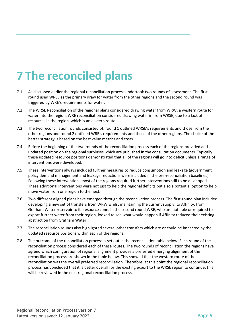# <span id="page-11-0"></span>**7 The reconciled plans**

- 7.1 As discussed earlier the regional reconciliation process undertook two rounds of assessment. The first round used WRSE as the primary draw for water from the other regions and the second round was triggered by WRE's requirements for water.
- 7.2 The WRSE Reconciliation of the regional plans considered drawing water from WRW, a western route for water into the region. WRE reconciliation considered drawing water in from WRSE, due to a lack of resources in the region, which is an eastern route.
- 7.3 The two reconciliation rounds consisted of: round 1 outlined WRSE's requirements and those from the other regions and round 2 outlined WRE's requirements and those of the other regions. The choice of the better strategy is based on the best value metrics and costs.
- 7.4 Before the beginning of the two rounds of the reconciliation process each of the regions provided and updated position on the regional surpluses which are published in the consultation documents. Typically these updated resource positions demonstrated that all of the regions will go into deficit unless a range of interventions were developed.
- 7.5 These interventions always included further measures to reduce consumption and leakage (government policy demand management and leakage reductions were included in the pre-reconciliation baselines). Following these interventions most of the regions required further interventions still to be developed. These additional interventions were not just to help the regional deficits but also a potential option to help move water from one region to the next.
- 7.6 Two different aligned plans have emerged through the reconciliation process. The first-round plan included developing a new set of transfers from WRW whilst maintaining the current supply, to Affinity, from Grafham Water reservoir to its resource zone. In the second round WRE, who are not able or required to export further water from their region, looked to see what would happen if Affinity reduced their existing abstraction from Grafham Water.
- 7.7 The reconciliation rounds also highlighted several other transfers which are or could be impacted by the updated resource positions within each of the regions.
- 7.8 The outcome of the reconciliation process is set out in the reconciliation table below. Each round of the reconciliation process considered each of these routes. The two rounds of reconciliation the regions have agreed which configuration of regional alignment provides a preferred emerging alignment of the reconciliation process are shown in the table below. This showed that the western route of the reconciliation was the overall preferred reconciliation. Therefore, at this point the regional reconciliation process has concluded that it is better overall for the existing export to the WRSE region to continue, this will be reviewed in the next regional reconciliation process.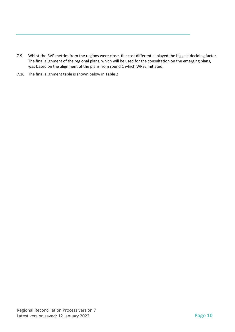- 7.9 Whilst the BVP metrics from the regions were close, the cost differential played the biggest deciding factor. The final alignment of the regional plans, which will be used for the consultation on the emerging plans, was based on the alignment of the plans from round 1 which WRSE initiated.
- 7.10 The final alignment table is shown below in [Table 2](#page-14-0)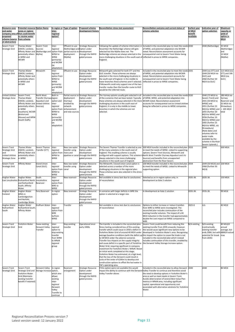Regional Reconciliation Process version 7 Latest version saved: 12 January 2022 **Page 11**

| Resource zone<br>and water<br>proposed<br>scheme (source<br>of abstraction)                      | <b>Potential resource Option Name</b><br>zones or regions<br>company area of that could benefit<br>or receive water<br>from scheme                                                                         |                                                      | nter-<br>regional<br>option?                                                                                                 | n-region or Type of option                                                                                 | <b>Proposed scheme</b><br>development history                                                                           | <b>Reconciliation stress test assessment</b>                                                                                                                                                                                                                                                                                                                                                                                                                                                                                                                                                                                                                                                                                     | Reconciliation outcome and current status of<br>scheme selection                                                                                                                                                                                                                                                                                                                                                                                                            | Earliest year<br>of MI/d<br>benefit<br>available | Indicative year of<br>option selection                                                                                                                                                                                                                                                                                                                                       | <b>Maximum</b><br>capacity or<br>yield of<br>option in<br>MI/d                                |
|--------------------------------------------------------------------------------------------------|------------------------------------------------------------------------------------------------------------------------------------------------------------------------------------------------------------|------------------------------------------------------|------------------------------------------------------------------------------------------------------------------------------|------------------------------------------------------------------------------------------------------------|-------------------------------------------------------------------------------------------------------------------------|----------------------------------------------------------------------------------------------------------------------------------------------------------------------------------------------------------------------------------------------------------------------------------------------------------------------------------------------------------------------------------------------------------------------------------------------------------------------------------------------------------------------------------------------------------------------------------------------------------------------------------------------------------------------------------------------------------------------------------|-----------------------------------------------------------------------------------------------------------------------------------------------------------------------------------------------------------------------------------------------------------------------------------------------------------------------------------------------------------------------------------------------------------------------------------------------------------------------------|--------------------------------------------------|------------------------------------------------------------------------------------------------------------------------------------------------------------------------------------------------------------------------------------------------------------------------------------------------------------------------------------------------------------------------------|-----------------------------------------------------------------------------------------------|
| Severn Trent<br><b>Strategic Grid</b>                                                            | <b>Thames Water</b><br>(SWOX, London),<br>Affinity Water and (Netheridge and<br>potentially others Mythe)<br>in WRSE and<br><b>WCWR</b>                                                                    | Severn Trent<br>Sources                              | nter-<br>regional<br>option from<br>WRW to<br>WRSE<br>(primarily)<br>and WCRW<br>as                                          | Effluent re-use<br>(Netheridge) and Option under<br>partial source re-development<br>deployment<br>(Mythe) | <b>Strategic Resource</b><br>through the RAPID<br>gated process                                                         | Following the update of scheme information in<br>November the Netheridge scheme still gets<br>selected but the Mythe does not. The<br>Netheridge scheme are always selected in the<br>more challenging situations in the south east of reflected in prices to WRSE companies.<br>England.                                                                                                                                                                                                                                                                                                                                                                                                                                        | Included in the reconciled plan to meet the needs 2030<br>of WRSE, and potential adaptation into WCWR<br>noted. Reconciliation assessment accounts for<br>consequential cost to Severn Trent Water being                                                                                                                                                                                                                                                                    |                                                  | 2040 (Netheridge)                                                                                                                                                                                                                                                                                                                                                            | 35 Ml/d<br>(Netheridge)<br>and<br>15 Ml/d<br>(Mythe)                                          |
| Severn Trent<br><b>Strategic Grid</b>                                                            | Thames Water<br>(SWOX, London),<br>Affinity Water and<br>potentially others<br>in WRSE and<br>WCWR                                                                                                         | Minworth                                             | daptation)<br>nter-<br>regional<br>option from<br>WRW to<br>WRSE<br>(primarily)<br>and WCRW<br>as<br>adaptation)             | Effluent re-use                                                                                            | <b>Strategic Resource</b><br>Option under<br>development<br>through the RAPID<br>gated process                          | Minworth gets selected for both STT and the<br>GUC transfer. These schemes are always<br>selected in the more challenging situations in<br>the south east of England. In the middle to<br>lower branches these schemes aren't selected.<br>If Minworth could only support one of the two<br>transfer routes then the transfer route to GUC<br>would be the referred route.                                                                                                                                                                                                                                                                                                                                                       | Included in the reconciled plan to meet the needs 2035<br>of WRSE, and potential adaptation into WCWR<br>noted. Reconciliation assessment accounts for<br>consequential cost to Severn Trent Water being<br>reflected in prices to WRSE companies.                                                                                                                                                                                                                          |                                                  | 2044 (via STT) and<br>2049 (50 Ml/d via<br>GUC) and<br>2060 (further 50<br>Ml/d via GUC)                                                                                                                                                                                                                                                                                     | 115 Ml/d (via<br>STT) and 100<br>Ml/d (via<br>GUC)                                            |
| <b>United Utilities</b><br><b>Strategic Zone</b>                                                 | Severn Trent,<br>Thames Water<br>(SWOX, London),<br>Affinity Water and United Utilities<br>potentially others Sources)<br>in WRSE<br>(Southern), WCWR<br>(Bristol and<br>Wessex) and WRW<br>(South Staffs) | North West<br>Transfer (Vyrnwyregion<br>Aqueduct and | Both in-<br>option and<br>nter-<br>egional<br>option from<br>WRW to<br>WRSE<br>(primarily)<br>and WCRW<br>as.<br>adaptation) | deployment<br>(Vyrnwy)<br>enabled by<br>network<br>enhancement<br>and new sources                          | Partial source re-Strategic Resource<br>Option under<br>development<br>through the RAPID<br>gated process               | The Vyrnwy options usually gets selected in all<br>of the scenarios that we have tested. Typically<br>these schemes are always selected in the more WCWR noted. Reconciliation assessment<br>challenging situations in the south east of<br>England. It is only in the middle to lower<br>branches in which the schemes are not<br>selected.                                                                                                                                                                                                                                                                                                                                                                                     | Included in the reconciled plan to meet the needs 2030<br>of WRW, WRSE, and potential adaptation into<br>accounts for consequential cost to United Utilities<br>being be reflected in prices to WRSE companies.                                                                                                                                                                                                                                                             |                                                  | 2040 (75 Ml/d to<br>Severn Trent) and<br>2041 (50 Ml/d to<br>WRSE) and<br>2051 (further 25<br>Ml/d to WRSE) and<br>2055 (further 20<br>MI/d to WRSE) and<br>2056 (further 10<br>Ml/d to WRSE) and<br>2065 (further 25<br>Ml/d to WRSE, via<br>Shrewsbury)<br>Note dates and<br>volumes refer to<br>water made<br>available by the<br>scheme in the River<br>Severn Uplands.) | 180 Ml/d via<br>Vyrnwy<br>Reservoir and<br>25 Ml/d via<br>Shrewsbury<br>$= 205$ MI/d<br>total |
| Severn Trent<br><b>Strategic Grid</b><br>and<br><b>United Utilities</b><br><b>Strategic Zone</b> | <b>Thames Water</b><br>(SWOX, London), Transfer (STT)<br>Affinity Water and<br>potentially others<br>in WRSE                                                                                               | Severn Thames                                        | Inter-<br>regional<br>option from rivers and<br>WRW to<br>WRSE                                                               | transfer using                                                                                             | New raw water Strategic Resource<br>Option under<br>development<br>pipeline or canal through the RAPID<br>gated process | of the many solutions in the south east of<br>England. This enabling scheme is usually<br>always selected in the more challenging<br>situations in the south east of England.                                                                                                                                                                                                                                                                                                                                                                                                                                                                                                                                                    | The Severn Thames Transfer is selected as one 500 MI/d transfer included in the reconciled plan 2033<br>to meet the needs of WRSE. Linked to supporting<br>options: Severn Trent Sources, Minworth and<br>configured with support options. This scheme is North West Transfer (Vyrnwy Aqueduct and UU<br>Sources) and benefits from unsupported<br>abstraction from the River Severn.                                                                                       |                                                  | 2040                                                                                                                                                                                                                                                                                                                                                                         | 500 MI/d                                                                                      |
| Severn Trent<br><b>Strategic Grid</b>                                                            | Affinity Water                                                                                                                                                                                             | <b>Grand Union</b><br>Canal (GUC)                    | nter-<br>egional<br>option from canal<br>WRW to<br>WRSE                                                                      | New raw water<br>transfer using                                                                            | <b>Strategic Resource</b><br>Option under<br>development<br>through the RAPID<br>gated process                          | The Minworth / Grand Union canal option is<br>selected across a number of the more<br>challenging situations in the regional plan.<br>These schemes were also selected in the stress<br>tests.                                                                                                                                                                                                                                                                                                                                                                                                                                                                                                                                   | 100 MI/d transfer included in the reconciled plan 2034<br>to meet the needs of WRSE. Linked to Minworth<br>supporting option.                                                                                                                                                                                                                                                                                                                                               |                                                  | 2049 (50 Ml/d) and 100 Ml/d<br>2060 (further 50<br>Ml/d)                                                                                                                                                                                                                                                                                                                     |                                                                                               |
| Anglian Water                                                                                    | Anglian Water<br>East Lincolnshire Ruthamford North Lincolnshire<br>and Ruthamford<br>South; Affinity<br>Water                                                                                             | South<br>Reservoir                                   | nter-<br>egional<br>option from<br>WRE to<br>WRSE                                                                            | New reservoir                                                                                              | <b>Strategic Resource</b><br>Option under<br>development<br>through the RAPID<br>gated process                          | Not available in stress test due to conclusions<br>of reconciliation                                                                                                                                                                                                                                                                                                                                                                                                                                                                                                                                                                                                                                                             | Selected as an in-region option only; in<br>development as Gate 2 solution                                                                                                                                                                                                                                                                                                                                                                                                  | 2035-36                                          | 2035-36                                                                                                                                                                                                                                                                                                                                                                      | 150 Ml/d                                                                                      |
| Anglian Water<br>Fenland                                                                         | Anglian Water<br>WRZs in<br>Cambridgeshire<br>and Norfolk;<br>Cambridge Water                                                                                                                              | Fens Reservoir                                       | n-region<br>option                                                                                                           | New reservoir                                                                                              | <b>Strategic Resource</b><br>Option under<br>development<br>through the RAPID<br>gated process                          | n scenarios with larger deficits in WRE the<br>option is selected at a larger size.                                                                                                                                                                                                                                                                                                                                                                                                                                                                                                                                                                                                                                              | n development as Gate 2 solution                                                                                                                                                                                                                                                                                                                                                                                                                                            | 2035-36                                          | 2035-36                                                                                                                                                                                                                                                                                                                                                                      | 99 Ml/d                                                                                       |
| Anglian Water<br>Ruthamford<br>South                                                             | Anglian Water<br>Ruthamford South;<br><b>Affinity Water</b>                                                                                                                                                | Grafham Water                                        | nter-<br>regional<br>option from<br>WRE<br>to/from<br>WRSE                                                                   | <b>Transfer</b>                                                                                            | n/a                                                                                                                     | Not available in stress test due to conclusions<br>of reconciliation                                                                                                                                                                                                                                                                                                                                                                                                                                                                                                                                                                                                                                                             | Options to either increase or reduce transfers<br>from WRE to WRSE were investigated. The<br>reconciled plan includes continuation of the<br>existing transfer volumes. The impact of a 40<br>MI/d reduction in the transfer had approximately<br>double the cost impact on WRSE compared to<br>WRE.                                                                                                                                                                        | 2025-6                                           | n/a                                                                                                                                                                                                                                                                                                                                                                          | 40 Ml/d                                                                                       |
| Severn Trent<br><b>Strategic Grid</b>                                                            | Yorkshire Water<br>Grid                                                                                                                                                                                    | Cease existing<br>Derwent Valley<br>Transfer         | nter-<br>egional<br>option to<br>top existing<br>ransfer<br>rom WRW<br>o WReN<br>regional<br><b>group</b>                    | Stop existing<br>transfer                                                                                  | Operational since<br>early 1900s                                                                                        | The transfer is included in the reconciled plan.<br>Stress testing considered loss of this existing<br>transfer which could cause in 2050 a deficit in<br>Yorkshire Water Grid of around 40 MI/d under<br>to 58 Ml/d under the adverse scenario).<br>Transfer loss impacts on the supply integrity<br>and cause deficit in a specific part of Yorkshire<br>Water Grid, requiring significant in-company<br>investment for Yorkshire Water / WReN. Based<br>on initial work completed at this stage,<br>Yorkshire Water has estimated, at a high level,<br>that the loss of the Derwent could result in<br>costs of the order of £200m to develop and<br>construction options to offset the lost water in<br>YW's operating area. | Severn Trent could benefit from reducing this<br>existing transfer from 2035 onwards, however<br>this would cause significant new options to be<br>developed in Yorkshire Water's area. Recognising<br>average baseline conditions (with the deficit up this impact the option to cease the trade is not<br>included in the reconciled plan which instead<br>includes continuation of this transfer, enabled by<br>the Derwent Valley Storage Increase option.              | N/A existing                                     | N/A existing<br>(contractually<br>existing transfer<br>ends 2084, but with 68Ml/d actual<br>potential for break max<br>from 2035)                                                                                                                                                                                                                                            | 40 MLX/d<br>annual<br>average, but                                                            |
| Severn Trent<br><b>Strategic Grid</b>                                                            | Severn Trent<br>Strategic Grid and<br>Yorkshire Water<br>Grid (Maintains<br>existing transfer<br>benefit if retained)                                                                                      | Derwent Valley<br>Storage Increase option,           | In-region<br>which also<br>allows<br>existing<br>nter-<br>regional<br>Derwent<br>Valley<br>Transfer to<br>continue           | Reservoir<br>enlargement                                                                                   | <b>Strategic Resource</b><br>Option under<br>development<br>through the RAPID<br>gated process.                         | If this option were not available this would<br>Valley Transfer above.                                                                                                                                                                                                                                                                                                                                                                                                                                                                                                                                                                                                                                                           | Included in the reconciled plan to allow Derwent 2040<br>impact the ability to continue with the Derwent Valley Transfer to continue and therefore avoid<br>the need to develop options in Yorkshire Water's<br>area as well as meet needs in Severn Trent.<br>Avoids deterioration of several Best Value Plan<br>metrics in WReN area, including significant<br>capital, operational and opportunity cost<br>associated with alternative solutions for Yorkshire<br>Water. |                                                  | 2040                                                                                                                                                                                                                                                                                                                                                                         | 80 MI/d                                                                                       |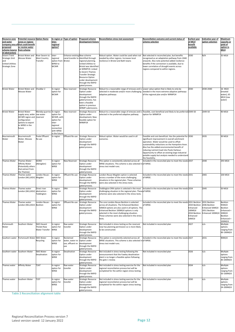Regional Reconciliation Process version 7 Latest version saved: 12 January 2022 **Page 12**

<span id="page-14-0"></span>**Table 2 Reconciliation alignment table**

| Resource zone<br>and water<br>proposed<br>scheme (source from scheme<br>of abstraction)   | <b>Potential resource Option Name</b><br>zones or regions<br>company area of that could benefit<br>or receive water                                 |                                                    | nter-<br><u>regional</u><br>option?                                                                    | n-region or Type of option                                             | <b>Proposed scheme</b><br>development history                                                                                                                                                                                                                                  | <b>Reconciliation stress test assessment</b>                                                                                                                                                                                                                                                        | Reconciliation outcome and current status of<br>scheme selection                                                                                                                                                                                                                                                                                                                                                                    | Earliest year<br>of MI/d<br><b>benefit</b><br>available                   | Indicative year of<br>option selection                                              | Maximum<br>capacity or<br>yield of<br>option in<br>MI/d                                         |
|-------------------------------------------------------------------------------------------|-----------------------------------------------------------------------------------------------------------------------------------------------------|----------------------------------------------------|--------------------------------------------------------------------------------------------------------|------------------------------------------------------------------------|--------------------------------------------------------------------------------------------------------------------------------------------------------------------------------------------------------------------------------------------------------------------------------|-----------------------------------------------------------------------------------------------------------------------------------------------------------------------------------------------------------------------------------------------------------------------------------------------------|-------------------------------------------------------------------------------------------------------------------------------------------------------------------------------------------------------------------------------------------------------------------------------------------------------------------------------------------------------------------------------------------------------------------------------------|---------------------------------------------------------------------------|-------------------------------------------------------------------------------------|-------------------------------------------------------------------------------------------------|
| Severn Trent<br><b>Strategic Grid</b><br>and<br><b>United Utilities</b><br>Strategic Zone | <b>Bristol Water and</b><br>Wessex Water                                                                                                            | River Severn to<br><b>West Country</b><br>Transfer | nter-<br>regional<br>option from Bristol.<br>WRW to<br>WCWR                                            | Enhance existing New scheme                                            | canal transfer to identified through<br>regional planning.<br>United Utilities to<br><b>Bristol was identified</b><br>at WRMP19. Linked<br>to Severn Thames<br><b>Transfer Strategic</b><br><b>Resource Option</b><br>under development<br>through the RAPID<br>gated process. | Robust option. Water could be used when not<br>needed by other regions. Increases local<br>resilience in Bristol and Bath towns                                                                                                                                                                     | Not selected in reconciled plan, but benefits<br>recognised as an adaptation pathway from 2040<br>onwards. Also note potential added resilience<br>benefits if the connection is available, due to<br>lower correlation of drought events across<br>regions compared to within regions.                                                                                                                                             | 2030                                                                      | N/A                                                                                 | 35 Ml/d                                                                                         |
| <b>Bristol Water</b>                                                                      | <b>Bristol Water and</b><br>Wessex Water                                                                                                            | Cheddar 2                                          | n-region<br>option for<br><b>WCWR</b>                                                                  | New reservoir                                                          | Strategic Resource<br>Option under<br>development<br>through the RAPID<br>gated process, has<br>been a feasible<br>option in previous<br><b>WRMP</b> submissions.                                                                                                              | Robust to a reasonable range of stresses and is Lower value option that is likely to only be<br>selected in moderate and/or more challenging<br>adaptive pathways                                                                                                                                   | needed in the more extreme adaptive pathways<br>of the regional plan and/or WRMP24                                                                                                                                                                                                                                                                                                                                                  | 2030                                                                      | 2030-2040                                                                           | 16 MI/d<br>(treated<br>water), 65<br>Ml/d (raw<br>water)                                        |
| <b>Bristol Water</b>                                                                      | <b>Bristol Water</b><br>supply area, wider raw water<br>WCWR region and reservoir<br>configuration<br>options to export<br>to WRSE in the<br>future | Mendip quarries In-region                          | option for<br>WCWR, with<br>option for<br>nter-<br>egional<br>connection<br>with WRSE<br>in the future | New reservoir                                                          | <b>Strategic Resource</b><br>Option under<br>development, New<br>feasible option for<br>WRMP24                                                                                                                                                                                 | Robust to a reasonable range of stresses and is<br>selected in the preferred adaptive pathway                                                                                                                                                                                                       | Feasible, cost-beneficial and likely to be preferred 2049-50<br>option for WRMP24                                                                                                                                                                                                                                                                                                                                                   |                                                                           | 2049-50                                                                             | 90 MI/d                                                                                         |
| Bournemouth<br>Water                                                                      | Bournemouth<br>Water, Wessex<br>Water                                                                                                               | Poole Effluent<br>Re-use                           | n-region                                                                                               | <b>Effluent Re-use</b>                                                 | <b>Strategic Resource</b><br>Option under<br>development<br>through the RAPID<br>gated process.                                                                                                                                                                                | Robust option. Water would be used in all<br>scenarios.                                                                                                                                                                                                                                             | Feasible and cost-beneficial. Has the potential for 2030<br>significant improvement in overall catchment<br>operation. Water would be used to offset<br>sustainability reductions on the Hampshire Avon.<br>Also has the added environmental benefit of<br>reducing nutrient load into Poole Harbour.<br>Opportunity to offset an existing large industrial<br>potable supply but analysis needed to understand<br>the feasibility. |                                                                           | 2035                                                                                | 30 MI/d                                                                                         |
|                                                                                           | Thames Water Thames Water -<br>Affinity Water<br>(Potentially others<br>that extract from<br>the Thames)                                            | <b>SESRO</b><br>(Abingdon)                         | In region<br>option for<br>WRSE                                                                        |                                                                        | New Reservoir Strategic Resource<br>Option under<br>development<br>through the RAPID<br>gated process                                                                                                                                                                          | WRSE situations. This scheme is also selected in of WRSE.<br>stress test model runs.                                                                                                                                                                                                                | This option is consistently selected across all  Included in the reconciled plan to meet the needs 2037                                                                                                                                                                                                                                                                                                                             |                                                                           | 2040                                                                                | 293 Ml/d                                                                                        |
| <b>Thames Water</b>                                                                       | Thames water<br>London (WLJ,KGV) Mogden                                                                                                             | - ondon Reuse.                                     | n region<br>option for<br>WRSE                                                                         | <b>Effluent Re-use</b>                                                 | <b>Strategic Resource</b><br>Option under<br>development<br>through the RAPID<br>gated process.                                                                                                                                                                                | London-Reuse Mogden option is selected<br>across a number of the more challenging<br>situations in the regional plan. These schemes<br>were also selected in the stress tests.                                                                                                                      | ncluded in the reconciled plan to meet the needs 2031<br>of WRSE.                                                                                                                                                                                                                                                                                                                                                                   |                                                                           | 2065                                                                                | 100 MI/d                                                                                        |
| <b>Thames Water</b>                                                                       | Thames water<br>London (WLJ,KGV) abstraction -                                                                                                      | Direct river<br>Teddington                         | n region<br>option for<br>WRSE                                                                         | <b>DRA</b>                                                             | <b>Strategic Resource</b><br>Option under<br>development<br>through the RAPID<br>gated process.                                                                                                                                                                                | Teddington DRA option is selected n the most<br>challenging situation in the regional plan. Theseof WRSE.<br>schemes were also selected in the stress tests.                                                                                                                                        | Included in the reconciled plan to meet the needs 2034                                                                                                                                                                                                                                                                                                                                                                              |                                                                           | 2045                                                                                | 50 Ml/d                                                                                         |
| Thames Water                                                                              | Thames water<br>London (WLJ,KGV) Beckton                                                                                                            | - ondon Reuse.                                     | n region<br>option for<br>WRSE                                                                         | <b>Effluent Re-use</b>                                                 | <b>Strategic Resource</b><br>Option under<br>development<br>through the RAPID<br>gated process.                                                                                                                                                                                | The core London-Reuse Beckton is selected<br>across all situations. The Enhanced Beckton<br>50Ml/d options are also used in all options. The<br>Enhanced Beckton 100Ml/d options is only<br>selected in the most challenging situation.<br>These schemes were also selected in the stress<br>tests. | Included in the reconciled plan to meet the needs 2031 Beckton<br>of WRSE.                                                                                                                                                                                                                                                                                                                                                          | 2034 Beckton<br>Enhanced<br>100Ml/d<br>2034 Beckton<br>Enhanced<br>50Ml/d | 2031 Beckton<br>2046 Beckton<br>Enhanced 50Ml/d<br>2051 Beckton<br>Enhanced 100Ml/d | Beckton<br>95Ml/d<br><b>Beckton</b><br>Enhanced +<br>50Ml/d<br>Beckton<br>Enhanced +<br>100Ml/d |
| Portsmouth<br>Water                                                                       | Southern Water                                                                                                                                      | <b>SWS Havant</b><br>Thicket Raw<br>Water Transfer | In region<br>option for<br><b>WRSE</b>                                                                 | Raw water<br>transfer                                                  | Strategic Resource<br>Option under<br>development<br>through the RAPID<br>gated process.                                                                                                                                                                                       | Not included in stress testing as the reservoir<br>now has planning permission so is more likely<br>to be constructed.                                                                                                                                                                              | Not included in reconciled plan                                                                                                                                                                                                                                                                                                                                                                                                     | 2027                                                                      | n/a                                                                                 | Multiple<br>options<br>ranging from<br>90-190Ml/d                                               |
| Southern water                                                                            | Portsmouth Water SWS Water                                                                                                                          | Recycling                                          | n region<br>option for<br>WRSE                                                                         | Reclaimed<br>water, water re- Option under<br>use, effluent re-<br>use | <b>Strategic Resource</b><br>development<br>through the RAPID<br>gated process.                                                                                                                                                                                                | This option is consistently selected across all<br>WRSE situations. This scheme is also selected in of WRSE.<br>stress test model runs.                                                                                                                                                             | Included in the reconciled plan to meet the needs 2027                                                                                                                                                                                                                                                                                                                                                                              |                                                                           | 2031                                                                                | $90$ Ml/d                                                                                       |
| Southern water                                                                            | Southern Water                                                                                                                                      | <b>SWS Water</b><br>Desalination                   | n region<br>option for<br>WRSE                                                                         | Desalination                                                           | <b>Strategic Resource</b><br>Option under<br>development<br>through the RAPID<br>gated process.                                                                                                                                                                                | Not included in stress testing following the<br>announcement that the Fawley desalination<br>plant is no longer a feasible option following<br>the gate 1 review.                                                                                                                                   | Not included in reconciled plan                                                                                                                                                                                                                                                                                                                                                                                                     | 2026                                                                      | n/a                                                                                 | Multiple<br>options<br>ranging from<br>40-200Ml/d                                               |
| Thames water                                                                              | Affinity Water                                                                                                                                      | T2AT                                               | n region<br>option for<br>WRSE                                                                         | Raw water<br>transfer                                                  | <b>Strategic Resource</b><br>Option under<br>development<br>through the RAPID<br>gated process.                                                                                                                                                                                | Not included in stress testing exercise for the<br>regional reconciliation process but will be<br>completed for the within region stress testing                                                                                                                                                    | Not included in reconciled plan                                                                                                                                                                                                                                                                                                                                                                                                     | 2034                                                                      | n/a                                                                                 | Multiple<br>options<br>ranging from<br>50-100Ml/d                                               |
| Thames water                                                                              | Southern Water                                                                                                                                      | <b>T2ST</b>                                        | n region<br>option for<br>WRSE                                                                         | Raw water<br>transfer                                                  | <b>Strategic Resource</b><br>Option under<br>development<br>through the RAPID<br>gated process.                                                                                                                                                                                | Not included in stress testing exercise for the<br>regional reconciliation process but will be<br>completed for the within region stress testing                                                                                                                                                    | Not included in reconciled plan                                                                                                                                                                                                                                                                                                                                                                                                     | 2030                                                                      | n/a                                                                                 | Multiple<br>options<br>ranging from<br>24-200Ml/d                                               |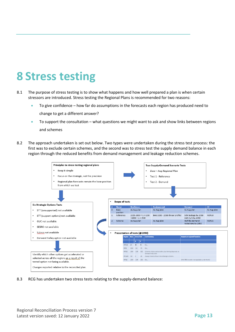### <span id="page-15-0"></span>**8 Stress testing**

- 8.1 The purpose of stress testing is to show what happens and how well prepared a plan is when certain stressors are introduced. Stress testing the Regional Plans is recommended for two reasons:
	- To give confidence how far do assumptions in the forecasts each region has produced need to change to get a different answer?
	- To support the consultation what questions we might want to ask and show links between regions and schemes
- 8.2 The approach undertaken is set out below. Two types were undertaken during the stress test process: the first was to exclude certain schemes, and the second was to stress test the supply demand balance in each region through the reduced benefits from demand management and leakage reduction schemes.



8.3 RCG has undertaken two stress tests relating to the supply-demand balance: